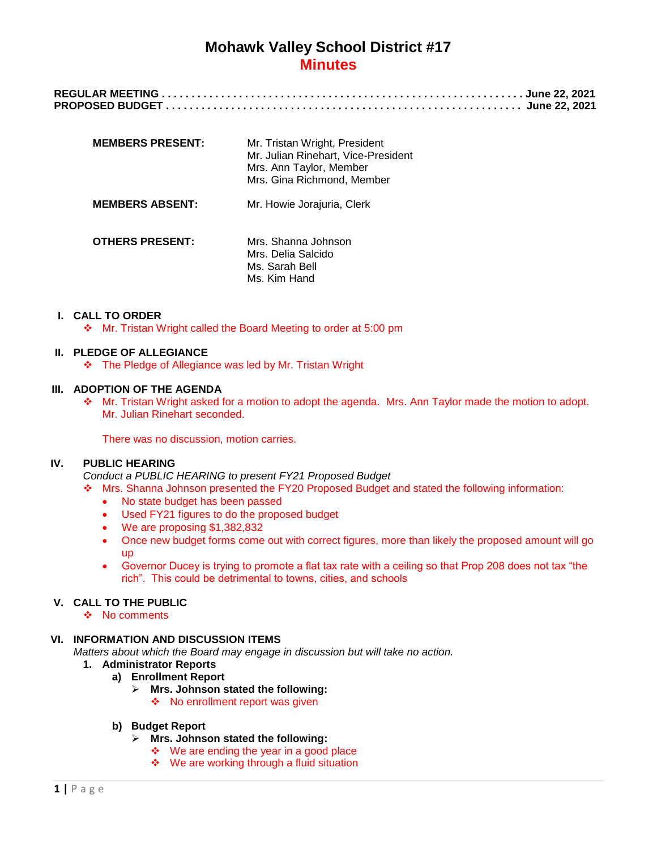| <b>MEMBERS PRESENT:</b> | Mr. Tristan Wright, President<br>Mr. Julian Rinehart, Vice-President<br>Mrs. Ann Taylor, Member<br>Mrs. Gina Richmond, Member |
|-------------------------|-------------------------------------------------------------------------------------------------------------------------------|
| <b>MEMBERS ABSENT:</b>  | Mr. Howie Jorajuria, Clerk                                                                                                    |
| <b>OTHERS PRESENT:</b>  | Mrs. Shanna Johnson<br>Mrs. Delia Salcido<br>Ms. Sarah Bell<br>Ms. Kim Hand                                                   |

# **I. CALL TO ORDER**

Mr. Tristan Wright called the Board Meeting to order at 5:00 pm

#### **II. PLEDGE OF ALLEGIANCE**

\* The Pledge of Allegiance was led by Mr. Tristan Wright

### **III. ADOPTION OF THE AGENDA**

 Mr. Tristan Wright asked for a motion to adopt the agenda. Mrs. Ann Taylor made the motion to adopt. Mr. Julian Rinehart seconded.

There was no discussion, motion carries.

# **IV. PUBLIC HEARING**

*Conduct a PUBLIC HEARING to present FY21 Proposed Budget*

- Mrs. Shanna Johnson presented the FY20 Proposed Budget and stated the following information:
	- No state budget has been passed
	- Used FY21 figures to do the proposed budget
	- We are proposing \$1,382,832
	- Once new budget forms come out with correct figures, more than likely the proposed amount will go up
	- Governor Ducey is trying to promote a flat tax rate with a ceiling so that Prop 208 does not tax "the rich". This could be detrimental to towns, cities, and schools

#### **V. CALL TO THE PUBLIC**

❖ No comments

#### **VI. INFORMATION AND DISCUSSION ITEMS**

- *Matters about which the Board may engage in discussion but will take no action.*
	- **1. Administrator Reports**
		- **a) Enrollment Report**
			- **Mrs. Johnson stated the following:** ❖ No enrollment report was given
		- **b) Budget Report**
			- **Mrs. Johnson stated the following:**
				- $\div$  We are ending the year in a good place
				- ❖ We are working through a fluid situation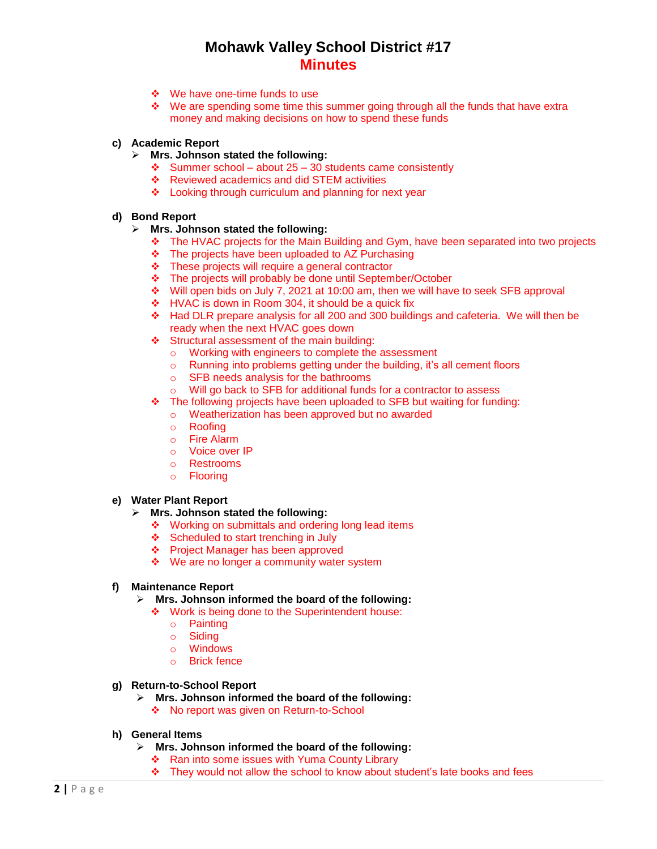- We have one-time funds to use
- \* We are spending some time this summer going through all the funds that have extra money and making decisions on how to spend these funds

### **c) Academic Report**

- **Mrs. Johnson stated the following:**
	- $\div$  Summer school about 25 30 students came consistently
	- ❖ Reviewed academics and did STEM activities
	- ❖ Looking through curriculum and planning for next year

# **d) Bond Report**

#### **Mrs. Johnson stated the following:**

- The HVAC projects for the Main Building and Gym, have been separated into two projects
- \* The projects have been uploaded to AZ Purchasing
- These projects will require a general contractor
- \* The projects will probably be done until September/October
- Will open bids on July 7, 2021 at 10:00 am, then we will have to seek SFB approval
- HVAC is down in Room 304, it should be a quick fix
- Had DLR prepare analysis for all 200 and 300 buildings and cafeteria. We will then be ready when the next HVAC goes down
- Structural assessment of the main building:
	- o Working with engineers to complete the assessment
	- o Running into problems getting under the building, it's all cement floors
	- o SFB needs analysis for the bathrooms
	- o Will go back to SFB for additional funds for a contractor to assess
- The following projects have been uploaded to SFB but waiting for funding:
	- o Weatherization has been approved but no awarded
	- o Roofing
	- o Fire Alarm
	- o Voice over IP
	- o Restrooms
	- o Flooring

# **e) Water Plant Report**

# **Mrs. Johnson stated the following:**

- ❖ Working on submittals and ordering long lead items
- ❖ Scheduled to start trenching in July
- ❖ Project Manager has been approved
- ❖ We are no longer a community water system

#### **f) Maintenance Report**

- **Mrs. Johnson informed the board of the following:**
	- ❖ Work is being done to the Superintendent house:
		- o Painting
		- o Siding
		- o Windows
		- o Brick fence
- **g) Return-to-School Report**
	- **Mrs. Johnson informed the board of the following:**
		- ❖ No report was given on Return-to-School
- **h) General Items**
	- **Mrs. Johnson informed the board of the following:**
		- \* Ran into some issues with Yuma County Library
		- $\div$  They would not allow the school to know about student's late books and fees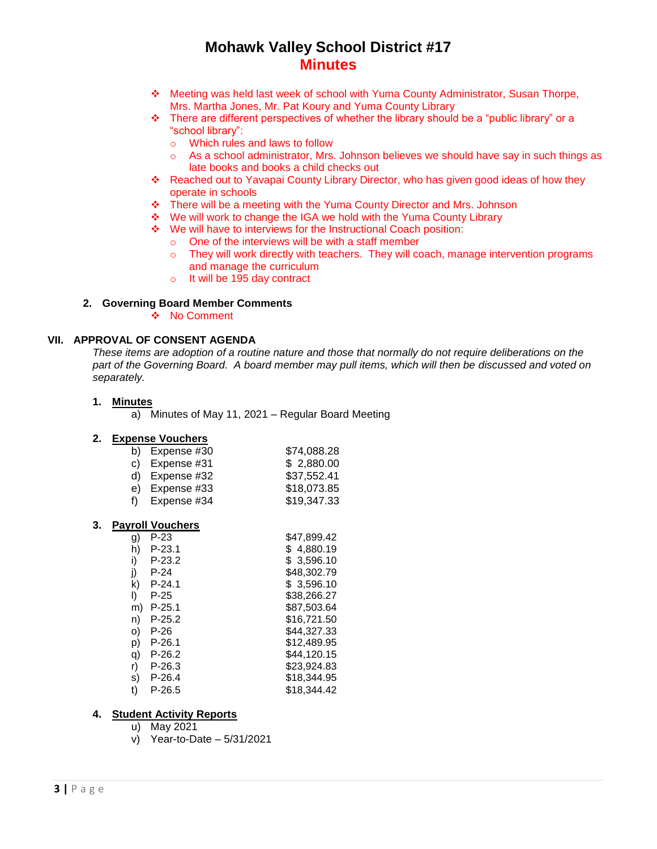- Meeting was held last week of school with Yuma County Administrator, Susan Thorpe, Mrs. Martha Jones, Mr. Pat Koury and Yuma County Library
- $\cdot \cdot$  There are different perspectives of whether the library should be a "public library" or a "school library":
	- o Which rules and laws to follow
	- o As a school administrator, Mrs. Johnson believes we should have say in such things as late books and books a child checks out
- Reached out to Yavapai County Library Director, who has given good ideas of how they operate in schools
- \* There will be a meeting with the Yuma County Director and Mrs. Johnson
- We will work to change the IGA we hold with the Yuma County Library
- We will have to interviews for the Instructional Coach position:
	- o One of the interviews will be with a staff member
		- o They will work directly with teachers. They will coach, manage intervention programs and manage the curriculum
		- o It will be 195 day contract

# **2. Governing Board Member Comments**

❖ No Comment

# **VII. APPROVAL OF CONSENT AGENDA**

*These items are adoption of a routine nature and those that normally do not require deliberations on the part of the Governing Board. A board member may pull items, which will then be discussed and voted on separately.*

# **1. Minutes**

a) Minutes of May 11, 2021 – Regular Board Meeting

#### **2. Expense Vouchers**

|    | b) Expense $#30$ | \$74,088.28 |
|----|------------------|-------------|
|    | c) Expense $#31$ | \$2,880.00  |
|    | d) Expense $#32$ | \$37,552.41 |
|    | e) Expense #33   | \$18,073.85 |
| f) | Expense #34      | \$19,347.33 |

#### **3. Payroll Vouchers**

| g) | P-23     | \$47,899.42 |
|----|----------|-------------|
| h) | P-23.1   | 4,880.19    |
| i) | P-23.2   | \$3,596.10  |
| i) | P-24     | \$48,302.79 |
| k) | P-24.1   | \$3,596.10  |
| I) | P-25     | \$38,266.27 |
| m) | $P-25.1$ | \$87,503.64 |
| n) | P-25.2   | \$16,721.50 |
| O) | P-26     | \$44,327.33 |
| p) | $P-26.1$ | \$12,489.95 |
| q) | P-26.2   | \$44,120.15 |
| r) | P-26.3   | \$23,924.83 |
| s) | P-26.4   | \$18,344.95 |
| t) | P-26.5   | \$18,344.42 |

# **4. Student Activity Reports**

- u) May 2021
- v) Year-to-Date 5/31/2021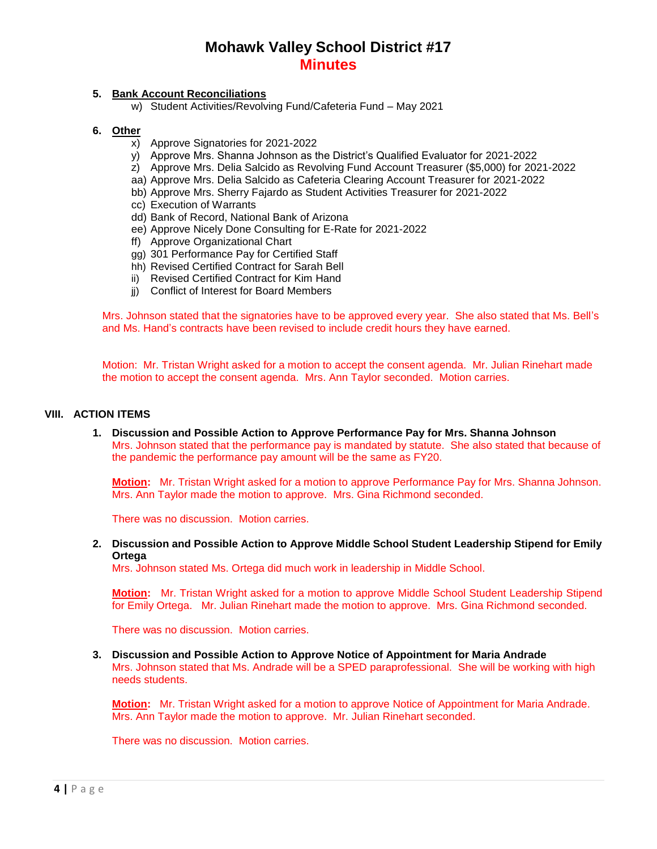# **5. Bank Account Reconciliations**

w) Student Activities/Revolving Fund/Cafeteria Fund – May 2021

### **6. Other**

- x) Approve Signatories for 2021-2022
- y) Approve Mrs. Shanna Johnson as the District's Qualified Evaluator for 2021-2022
- z) Approve Mrs. Delia Salcido as Revolving Fund Account Treasurer (\$5,000) for 2021-2022
- aa) Approve Mrs. Delia Salcido as Cafeteria Clearing Account Treasurer for 2021-2022
- bb) Approve Mrs. Sherry Fajardo as Student Activities Treasurer for 2021-2022
- cc) Execution of Warrants
- dd) Bank of Record, National Bank of Arizona
- ee) Approve Nicely Done Consulting for E-Rate for 2021-2022
- ff) Approve Organizational Chart
- gg) 301 Performance Pay for Certified Staff
- hh) Revised Certified Contract for Sarah Bell
- ii) Revised Certified Contract for Kim Hand
- jj) Conflict of Interest for Board Members

Mrs. Johnson stated that the signatories have to be approved every year. She also stated that Ms. Bell's and Ms. Hand's contracts have been revised to include credit hours they have earned.

Motion: Mr. Tristan Wright asked for a motion to accept the consent agenda. Mr. Julian Rinehart made the motion to accept the consent agenda. Mrs. Ann Taylor seconded. Motion carries.

### **VIII. ACTION ITEMS**

**1. Discussion and Possible Action to Approve Performance Pay for Mrs. Shanna Johnson** Mrs. Johnson stated that the performance pay is mandated by statute. She also stated that because of the pandemic the performance pay amount will be the same as FY20.

**Motion:** Mr. Tristan Wright asked for a motion to approve Performance Pay for Mrs. Shanna Johnson. Mrs. Ann Taylor made the motion to approve. Mrs. Gina Richmond seconded.

There was no discussion. Motion carries.

**2. Discussion and Possible Action to Approve Middle School Student Leadership Stipend for Emily Ortega**

Mrs. Johnson stated Ms. Ortega did much work in leadership in Middle School.

**Motion:** Mr. Tristan Wright asked for a motion to approve Middle School Student Leadership Stipend for Emily Ortega. Mr. Julian Rinehart made the motion to approve. Mrs. Gina Richmond seconded.

There was no discussion. Motion carries.

# **3. Discussion and Possible Action to Approve Notice of Appointment for Maria Andrade**

Mrs. Johnson stated that Ms. Andrade will be a SPED paraprofessional. She will be working with high needs students.

**Motion:** Mr. Tristan Wright asked for a motion to approve Notice of Appointment for Maria Andrade. Mrs. Ann Taylor made the motion to approve. Mr. Julian Rinehart seconded.

There was no discussion. Motion carries.